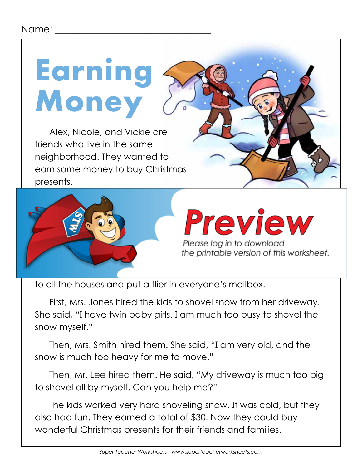## **Earning Money**

Alex, Nicole, and Vickie are friends who live in the same neighborhood. They wanted to earn some money to buy Christmas presents.



to all the houses and put a flier in everyone's mailbox.

First, Mrs. Jones hired the kids to shovel snow from her driveway. She said, "I have twin baby girls. I am much too busy to shovel the snow myself."

Then, Mrs. Smith hired them. She said, "I am very old, and the snow is much too heavy for me to move."

Then, Mr. Lee hired them. He said, "My driveway is much too big to shovel all by myself. Can you help me?"

The kids worked very hard shoveling snow. It was cold, but they also had fun. They earned a total of \$30. Now they could buy wonderful Christmas presents for their friends and families.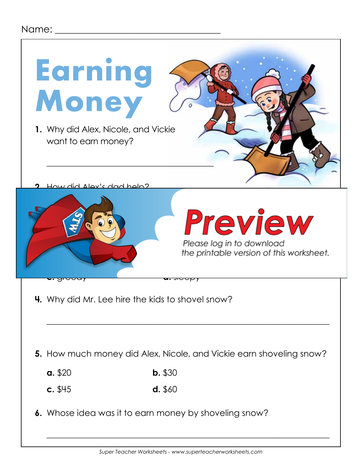## Name:  $\Box$